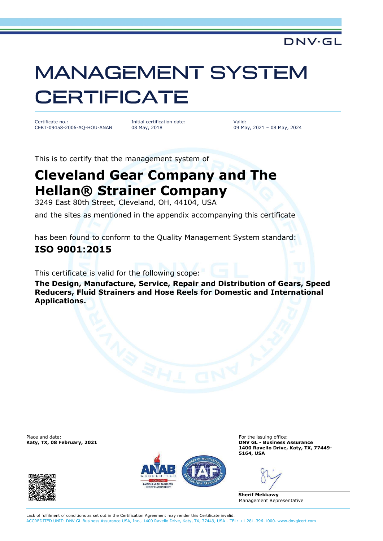#### DNV·GL

# **MANAGEMENT SYSTEM CERTIFICATE**

Certificate no.: CERT-09458-2006-AQ-HOU-ANAB Initial certification date: 08 May, 2018

Valid: 09 May, 2021 – 08 May, 2024

This is to certify that the management system of

## **Cleveland Gear Company and The Hellan® Strainer Company**

3249 East 80th Street, Cleveland, OH, 44104, USA

and the sites as mentioned in the appendix accompanying this certificate

has been found to conform to the Quality Management System standard:

#### **ISO 9001:2015**

This certificate is valid for the following scope:

**The Design, Manufacture, Service, Repair and Distribution of Gears, Speed Reducers, Fluid Strainers and Hose Reels for Domestic and International Applications.**

Place and date: For the issuing office:<br> **For the issuing office:** For the issuing office:<br> **For the issuing office:** For the issuing office:





**Katy, TX, 08 February, 2021 DNV GL - Business Assurance 1400 Ravello Drive, Katy, TX, 77449- 5164, USA**

**Sherif Mekkawy** Management Representative

Lack of fulfilment of conditions as set out in the Certification Agreement may render this Certificate invalid. ACCREDITED UNIT: DNV GL Business Assurance USA, Inc., 1400 Ravello Drive, Katy, TX, 77449, USA - TEL: +1 281-396-1000. www.dnvglcert.com